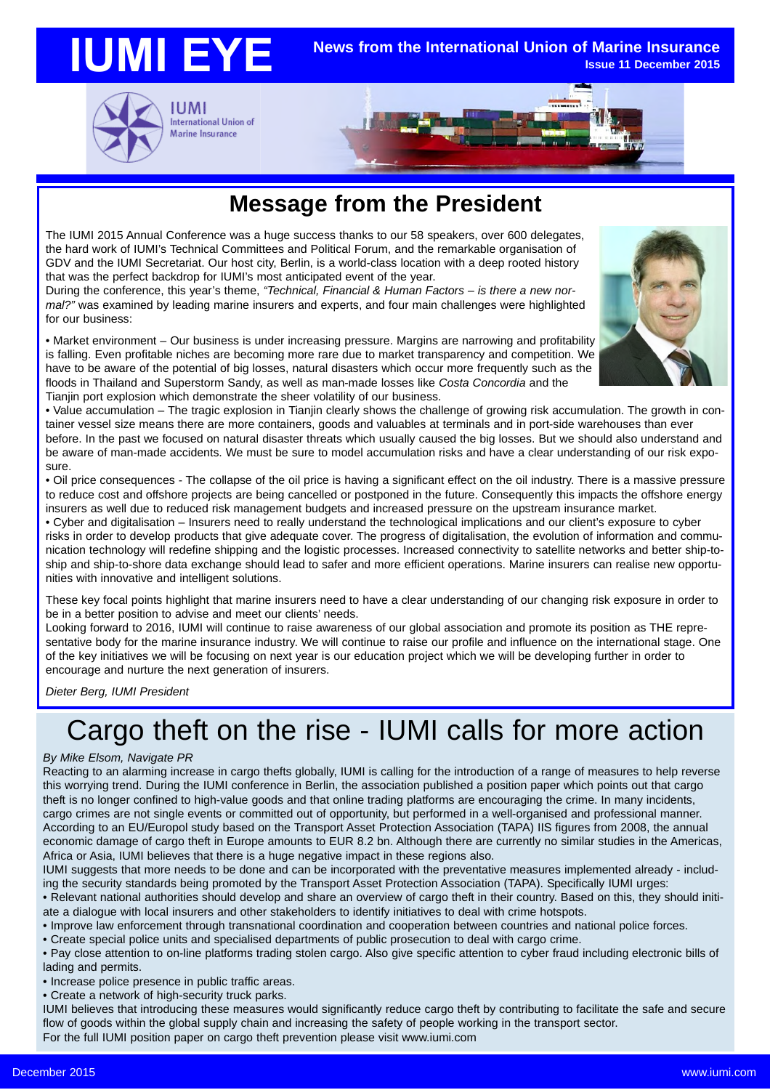#### **IUMI EYE News from the International Union of Marine Insurance Issue 11 December 2015**





### **Message from the President**

The IUMI 2015 Annual Conference was a huge success thanks to our 58 speakers, over 600 delegates, the hard work of IUMI's Technical Committees and Political Forum, and the remarkable organisation of GDV and the IUMI Secretariat. Our host city, Berlin, is a world-class location with a deep rooted history that was the perfect backdrop for IUMI's most anticipated event of the year.

During the conference, this year's theme, *"Technical, Financial & Human Factors – is there a new normal?"* was examined by leading marine insurers and experts, and four main challenges were highlighted for our business:

• Market environment – Our business is under increasing pressure. Margins are narrowing and profitability is falling. Even profitable niches are becoming more rare due to market transparency and competition. We have to be aware of the potential of big losses, natural disasters which occur more frequently such as the floods in Thailand and Superstorm Sandy, as well as man-made losses like *Costa Concordia* and the Tianjin port explosion which demonstrate the sheer volatility of our business.



• Value accumulation – The tragic explosion in Tianjin clearly shows the challenge of growing risk accumulation. The growth in container vessel size means there are more containers, goods and valuables at terminals and in port-side warehouses than ever before. In the past we focused on natural disaster threats which usually caused the big losses. But we should also understand and be aware of man-made accidents. We must be sure to model accumulation risks and have a clear understanding of our risk exposure.

• Oil price consequences - The collapse of the oil price is having a significant effect on the oil industry. There is a massive pressure to reduce cost and offshore projects are being cancelled or postponed in the future. Consequently this impacts the offshore energy insurers as well due to reduced risk management budgets and increased pressure on the upstream insurance market.

• Cyber and digitalisation – Insurers need to really understand the technological implications and our client's exposure to cyber risks in order to develop products that give adequate cover. The progress of digitalisation, the evolution of information and communication technology will redefine shipping and the logistic processes. Increased connectivity to satellite networks and better ship-toship and ship-to-shore data exchange should lead to safer and more efficient operations. Marine insurers can realise new opportunities with innovative and intelligent solutions.

These key focal points highlight that marine insurers need to have a clear understanding of our changing risk exposure in order to be in a better position to advise and meet our clients' needs.

Looking forward to 2016, IUMI will continue to raise awareness of our global association and promote its position as THE representative body for the marine insurance industry. We will continue to raise our profile and influence on the international stage. One of the key initiatives we will be focusing on next year is our education project which we will be developing further in order to encourage and nurture the next generation of insurers.

*Dieter Berg, IUMI President*

# Cargo theft on the rise - IUMI calls for more action

### *By Mike Elsom, Navigate PR*

Reacting to an alarming increase in cargo thefts globally, IUMI is calling for the introduction of a range of measures to help reverse this worrying trend. During the IUMI conference in Berlin, the association published a position paper which points out that cargo theft is no longer confined to high-value goods and that online trading platforms are encouraging the crime. In many incidents, cargo crimes are not single events or committed out of opportunity, but performed in a well-organised and professional manner. According to an EU/Europol study based on the Transport Asset Protection Association (TAPA) IIS figures from 2008, the annual economic damage of cargo theft in Europe amounts to EUR 8.2 bn. Although there are currently no similar studies in the Americas, Africa or Asia, IUMI believes that there is a huge negative impact in these regions also.

IUMI suggests that more needs to be done and can be incorporated with the preventative measures implemented already - including the security standards being promoted by the Transport Asset Protection Association (TAPA). Specifically IUMI urges:

• Relevant national authorities should develop and share an overview of cargo theft in their country. Based on this, they should initiate a dialogue with local insurers and other stakeholders to identify initiatives to deal with crime hotspots.

• Improve law enforcement through transnational coordination and cooperation between countries and national police forces.

• Create special police units and specialised departments of public prosecution to deal with cargo crime.

• Pay close attention to on-line platforms trading stolen cargo. Also give specific attention to cyber fraud including electronic bills of lading and permits.

• Increase police presence in public traffic areas.

• Create a network of high-security truck parks.

IUMI believes that introducing these measures would significantly reduce cargo theft by contributing to facilitate the safe and secure flow of goods within the global supply chain and increasing the safety of people working in the transport sector. For the full IUMI position paper on cargo theft prevention please visit www.iumi.com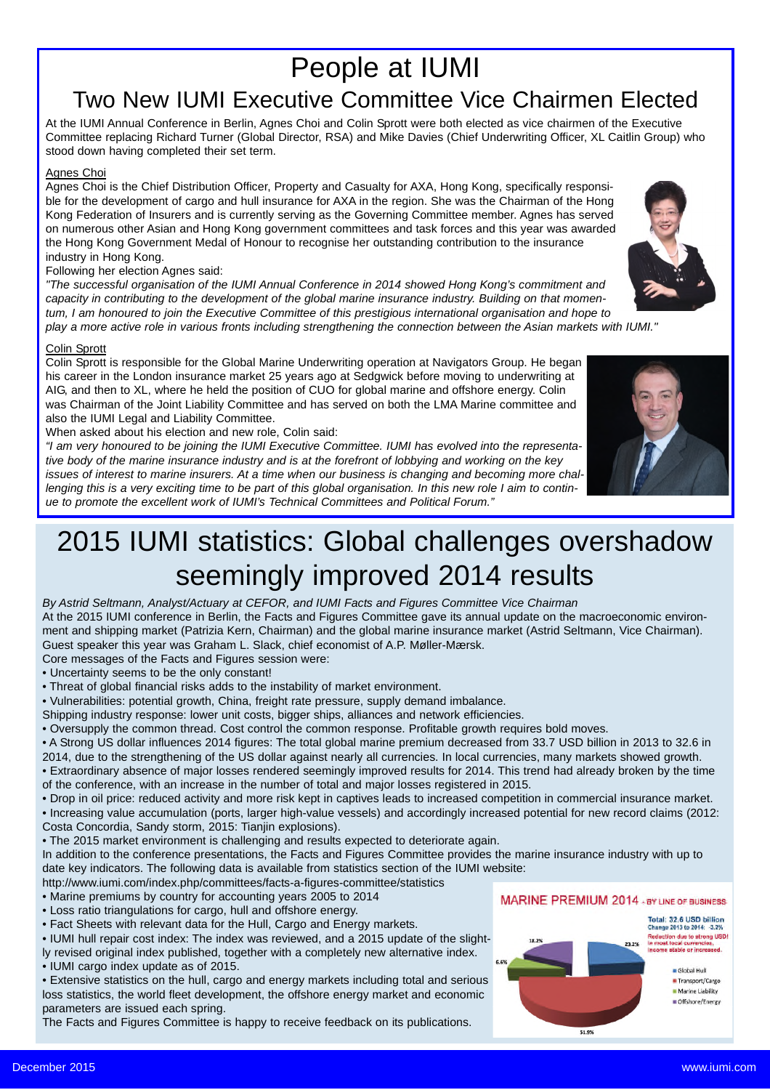### People at IUMI Two New IUMI Executive Committee Vice Chairmen Elected

At the IUMI Annual Conference in Berlin, Agnes Choi and Colin Sprott were both elected as vice chairmen of the Executive Committee replacing Richard Turner (Global Director, RSA) and Mike Davies (Chief Underwriting Officer, XL Caitlin Group) who stood down having completed their set term.

### Agnes Choi

Agnes Choi is the Chief Distribution Officer, Property and Casualty for AXA, Hong Kong, specifically responsible for the development of cargo and hull insurance for AXA in the region. She was the Chairman of the Hong Kong Federation of Insurers and is currently serving as the Governing Committee member. Agnes has served on numerous other Asian and Hong Kong government committees and task forces and this year was awarded the Hong Kong Government Medal of Honour to recognise her outstanding contribution to the insurance industry in Hong Kong.

### Following her election Agnes said:

*"The successful organisation of the IUMI Annual Conference in 2014 showed Hong Kong's commitment and capacity in contributing to the development of the global marine insurance industry. Building on that momentum, I am honoured to join the Executive Committee of this prestigious international organisation and hope to play a more active role in various fronts including strengthening the connection between the Asian markets with IUMI."*

### Colin Sprott

Colin Sprott is responsible for the Global Marine Underwriting operation at Navigators Group. He began his career in the London insurance market 25 years ago at Sedgwick before moving to underwriting at AIG, and then to XL, where he held the position of CUO for global marine and offshore energy. Colin was Chairman of the Joint Liability Committee and has served on both the LMA Marine committee and also the IUMI Legal and Liability Committee.

When asked about his election and new role, Colin said:

*"I am very honoured to be joining the IUMI Executive Committee. IUMI has evolved into the representative body of the marine insurance industry and is at the forefront of lobbying and working on the key issues of interest to marine insurers. At a time when our business is changing and becoming more challenging this is a very exciting time to be part of this global organisation. In this new role I aim to continue to promote the excellent work of IUMI's Technical Committees and Political Forum."*

## 2015 IUMI statistics: Global challenges overshadow seemingly improved 2014 results

*By Astrid Seltmann, Analyst/Actuary at CEFOR, and IUMI Facts and Figures Committee Vice Chairman* At the 2015 IUMI conference in Berlin, the Facts and Figures Committee gave its annual update on the macroeconomic environment and shipping market (Patrizia Kern, Chairman) and the global marine insurance market (Astrid Seltmann, Vice Chairman). Guest speaker this year was Graham L. Slack, chief economist of A.P. Møller-Mærsk.

- Core messages of the Facts and Figures session were:
- Uncertainty seems to be the only constant!
- Threat of global financial risks adds to the instability of market environment.
- Vulnerabilities: potential growth, China, freight rate pressure, supply demand imbalance.
- Shipping industry response: lower unit costs, bigger ships, alliances and network efficiencies.
- Oversupply the common thread. Cost control the common response. Profitable growth requires bold moves.
- A Strong US dollar influences 2014 figures: The total global marine premium decreased from 33.7 USD billion in 2013 to 32.6 in
- 2014, due to the strengthening of the US dollar against nearly all currencies. In local currencies, many markets showed growth.
- Extraordinary absence of major losses rendered seemingly improved results for 2014. This trend had already broken by the time of the conference, with an increase in the number of total and major losses registered in 2015.
- Drop in oil price: reduced activity and more risk kept in captives leads to increased competition in commercial insurance market.
- Increasing value accumulation (ports, larger high-value vessels) and accordingly increased potential for new record claims (2012: Costa Concordia, Sandy storm, 2015: Tianjin explosions).
- The 2015 market environment is challenging and results expected to deteriorate again.
- In addition to the conference presentations, the Facts and Figures Committee provides the marine insurance industry with up to date key indicators. The following data is available from statistics section of the IUMI website:
- http://www.iumi.com/index.php/committees/facts-a-figures-committee/statistics
- Marine premiums by country for accounting years 2005 to 2014
- Loss ratio triangulations for cargo, hull and offshore energy.
- Fact Sheets with relevant data for the Hull, Cargo and Energy markets.
- IUMI hull repair cost index: The index was reviewed, and a 2015 update of the slight-
- ly revised original index published, together with a completely new alternative index. • IUMI cargo index update as of 2015.
- Extensive statistics on the hull, cargo and energy markets including total and serious loss statistics, the world fleet development, the offshore energy market and economic parameters are issued each spring.

The Facts and Figures Committee is happy to receive feedback on its publications.

### MARINE PREMIUM 2014 + BY LINE OF BUSINESS

51.9%

Total: 32.6 USD billion Change 2013 to 2014: - 3.2% **Reduction due to strong USD!**<br>n most local currencies table or increased





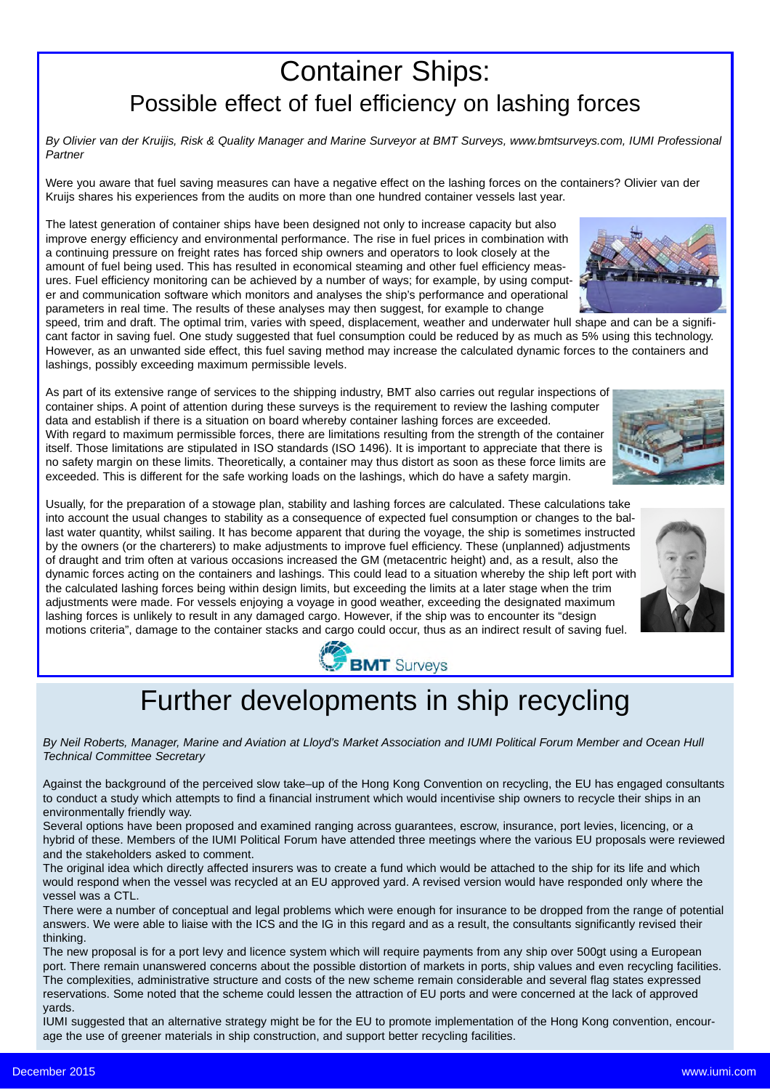### Container Ships: Possible effect of fuel efficiency on lashing forces

*By Olivier van der Kruijis, Risk & Quality Manager and Marine Surveyor at BMT Surveys, www.bmtsurveys.com, IUMI Professional Partner*

Were you aware that fuel saving measures can have a negative effect on the lashing forces on the containers? Olivier van der Kruijs shares his experiences from the audits on more than one hundred container vessels last year.

The latest generation of container ships have been designed not only to increase capacity but also improve energy efficiency and environmental performance. The rise in fuel prices in combination with a continuing pressure on freight rates has forced ship owners and operators to look closely at the amount of fuel being used. This has resulted in economical steaming and other fuel efficiency measures. Fuel efficiency monitoring can be achieved by a number of ways; for example, by using computer and communication software which monitors and analyses the ship's performance and operational parameters in real time. The results of these analyses may then suggest, for example to change

speed, trim and draft. The optimal trim, varies with speed, displacement, weather and underwater hull shape and can be a significant factor in saving fuel. One study suggested that fuel consumption could be reduced by as much as 5% using this technology. However, as an unwanted side effect, this fuel saving method may increase the calculated dynamic forces to the containers and lashings, possibly exceeding maximum permissible levels.

As part of its extensive range of services to the shipping industry, BMT also carries out regular inspections of container ships. A point of attention during these surveys is the requirement to review the lashing computer data and establish if there is a situation on board whereby container lashing forces are exceeded. With regard to maximum permissible forces, there are limitations resulting from the strength of the container itself. Those limitations are stipulated in ISO standards (ISO 1496). It is important to appreciate that there is no safety margin on these limits. Theoretically, a container may thus distort as soon as these force limits are exceeded. This is different for the safe working loads on the lashings, which do have a safety margin.

Usually, for the preparation of a stowage plan, stability and lashing forces are calculated. These calculations take into account the usual changes to stability as a consequence of expected fuel consumption or changes to the ballast water quantity, whilst sailing. It has become apparent that during the voyage, the ship is sometimes instructed by the owners (or the charterers) to make adjustments to improve fuel efficiency. These (unplanned) adjustments of draught and trim often at various occasions increased the GM (metacentric height) and, as a result, also the dynamic forces acting on the containers and lashings. This could lead to a situation whereby the ship left port with the calculated lashing forces being within design limits, but exceeding the limits at a later stage when the trim adjustments were made. For vessels enjoying a voyage in good weather, exceeding the designated maximum lashing forces is unlikely to result in any damaged cargo. However, if the ship was to encounter its "design motions criteria", damage to the container stacks and cargo could occur, thus as an indirect result of saving fuel.



## Further developments in ship recycling

*By Neil Roberts, Manager, Marine and Aviation at Lloyd's Market Association and IUMI Political Forum Member and Ocean Hull Technical Committee Secretary*

Against the background of the perceived slow take–up of the Hong Kong Convention on recycling, the EU has engaged consultants to conduct a study which attempts to find a financial instrument which would incentivise ship owners to recycle their ships in an environmentally friendly way.

Several options have been proposed and examined ranging across guarantees, escrow, insurance, port levies, licencing, or a hybrid of these. Members of the IUMI Political Forum have attended three meetings where the various EU proposals were reviewed and the stakeholders asked to comment.

The original idea which directly affected insurers was to create a fund which would be attached to the ship for its life and which would respond when the vessel was recycled at an EU approved yard. A revised version would have responded only where the vessel was a CTL.

There were a number of conceptual and legal problems which were enough for insurance to be dropped from the range of potential answers. We were able to liaise with the ICS and the IG in this regard and as a result, the consultants significantly revised their thinking.

The new proposal is for a port levy and licence system which will require payments from any ship over 500gt using a European port. There remain unanswered concerns about the possible distortion of markets in ports, ship values and even recycling facilities. The complexities, administrative structure and costs of the new scheme remain considerable and several flag states expressed reservations. Some noted that the scheme could lessen the attraction of EU ports and were concerned at the lack of approved yards.

IUMI suggested that an alternative strategy might be for the EU to promote implementation of the Hong Kong convention, encourage the use of greener materials in ship construction, and support better recycling facilities.



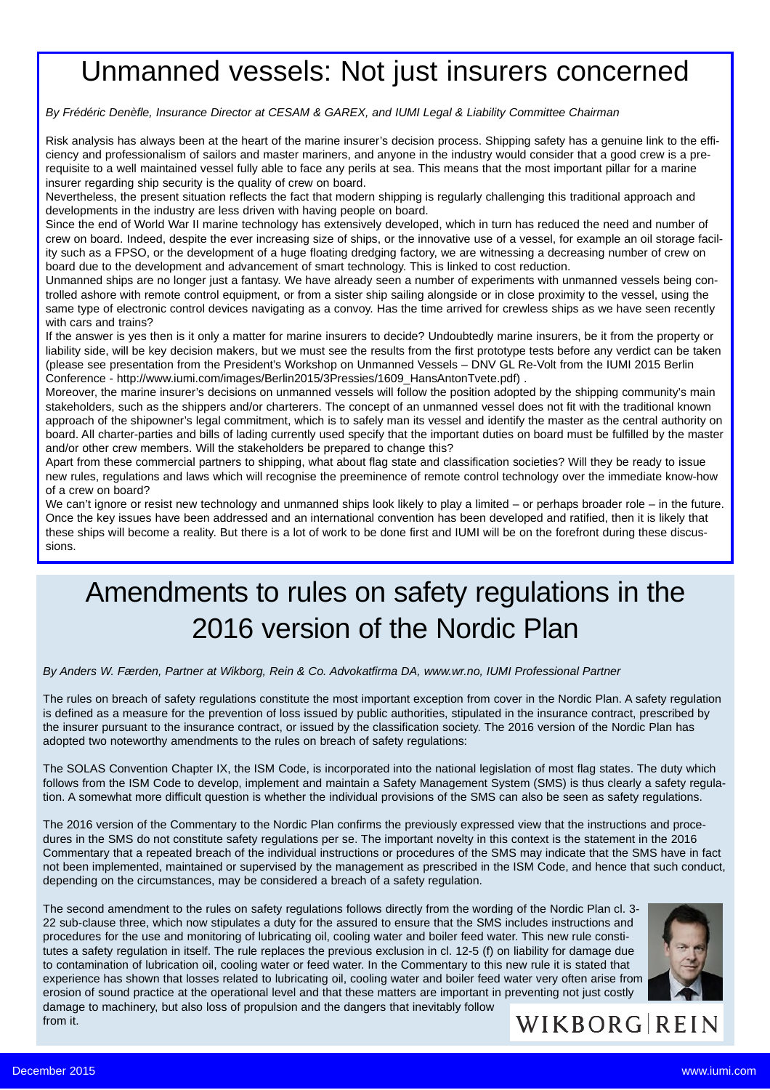## Unmanned vessels: Not just insurers concerned

*By Frédéric Denèfle, Insurance Director at CESAM & GAREX, and IUMI Legal & Liability Committee Chairman*

Risk analysis has always been at the heart of the marine insurer's decision process. Shipping safety has a genuine link to the efficiency and professionalism of sailors and master mariners, and anyone in the industry would consider that a good crew is a prerequisite to a well maintained vessel fully able to face any perils at sea. This means that the most important pillar for a marine insurer regarding ship security is the quality of crew on board.

Nevertheless, the present situation reflects the fact that modern shipping is regularly challenging this traditional approach and developments in the industry are less driven with having people on board.

Since the end of World War II marine technology has extensively developed, which in turn has reduced the need and number of crew on board. Indeed, despite the ever increasing size of ships, or the innovative use of a vessel, for example an oil storage facility such as a FPSO, or the development of a huge floating dredging factory, we are witnessing a decreasing number of crew on board due to the development and advancement of smart technology. This is linked to cost reduction.

Unmanned ships are no longer just a fantasy. We have already seen a number of experiments with unmanned vessels being controlled ashore with remote control equipment, or from a sister ship sailing alongside or in close proximity to the vessel, using the same type of electronic control devices navigating as a convoy. Has the time arrived for crewless ships as we have seen recently with cars and trains?

If the answer is yes then is it only a matter for marine insurers to decide? Undoubtedly marine insurers, be it from the property or liability side, will be key decision makers, but we must see the results from the first prototype tests before any verdict can be taken (please see presentation from the President's Workshop on Unmanned Vessels – DNV GL Re-Volt from the IUMI 2015 Berlin Conference - http://www.iumi.com/images/Berlin2015/3Pressies/1609\_HansAntonTvete.pdf) .

Moreover, the marine insurer's decisions on unmanned vessels will follow the position adopted by the shipping community's main stakeholders, such as the shippers and/or charterers. The concept of an unmanned vessel does not fit with the traditional known approach of the shipowner's legal commitment, which is to safely man its vessel and identify the master as the central authority on board. All charter-parties and bills of lading currently used specify that the important duties on board must be fulfilled by the master and/or other crew members. Will the stakeholders be prepared to change this?

Apart from these commercial partners to shipping, what about flag state and classification societies? Will they be ready to issue new rules, regulations and laws which will recognise the preeminence of remote control technology over the immediate know-how of a crew on board?

We can't ignore or resist new technology and unmanned ships look likely to play a limited – or perhaps broader role – in the future. Once the key issues have been addressed and an international convention has been developed and ratified, then it is likely that these ships will become a reality. But there is a lot of work to be done first and IUMI will be on the forefront during these discussions.

## Amendments to rules on safety regulations in the 2016 version of the Nordic Plan

*By Anders W. Færden, Partner at Wikborg, Rein & Co. Advokatfirma DA, www.wr.no, IUMI Professional Partner*

The rules on breach of safety regulations constitute the most important exception from cover in the Nordic Plan. A safety regulation is defined as a measure for the prevention of loss issued by public authorities, stipulated in the insurance contract, prescribed by the insurer pursuant to the insurance contract, or issued by the classification society. The 2016 version of the Nordic Plan has adopted two noteworthy amendments to the rules on breach of safety regulations:

The SOLAS Convention Chapter IX, the ISM Code, is incorporated into the national legislation of most flag states. The duty which follows from the ISM Code to develop, implement and maintain a Safety Management System (SMS) is thus clearly a safety regulation. A somewhat more difficult question is whether the individual provisions of the SMS can also be seen as safety regulations.

The 2016 version of the Commentary to the Nordic Plan confirms the previously expressed view that the instructions and procedures in the SMS do not constitute safety regulations per se. The important novelty in this context is the statement in the 2016 Commentary that a repeated breach of the individual instructions or procedures of the SMS may indicate that the SMS have in fact not been implemented, maintained or supervised by the management as prescribed in the ISM Code, and hence that such conduct, depending on the circumstances, may be considered a breach of a safety regulation.

The second amendment to the rules on safety regulations follows directly from the wording of the Nordic Plan cl. 3- 22 sub-clause three, which now stipulates a duty for the assured to ensure that the SMS includes instructions and procedures for the use and monitoring of lubricating oil, cooling water and boiler feed water. This new rule constitutes a safety regulation in itself. The rule replaces the previous exclusion in cl. 12-5 (f) on liability for damage due to contamination of lubrication oil, cooling water or feed water. In the Commentary to this new rule it is stated that experience has shown that losses related to lubricating oil, cooling water and boiler feed water very often arise from erosion of sound practice at the operational level and that these matters are important in preventing not just costly damage to machinery, but also loss of propulsion and the dangers that inevitably follow from it.



WIKBORG REIN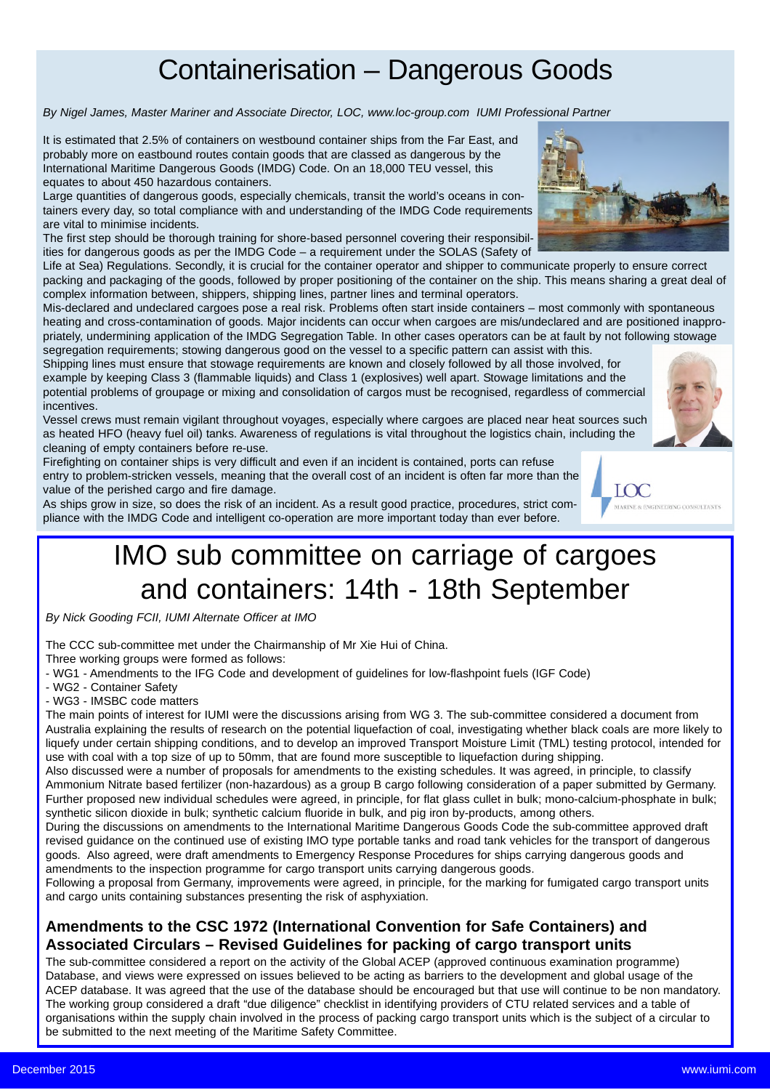## Containerisation – Dangerous Goods

*By Nigel James, Master Mariner and Associate Director, LOC, www.loc-group.com IUMI Professional Partner*

It is estimated that 2.5% of containers on westbound container ships from the Far East, and probably more on eastbound routes contain goods that are classed as dangerous by the International Maritime Dangerous Goods (IMDG) Code. On an 18,000 TEU vessel, this equates to about 450 hazardous containers.

Large quantities of dangerous goods, especially chemicals, transit the world's oceans in containers every day, so total compliance with and understanding of the IMDG Code requirements are vital to minimise incidents.

The first step should be thorough training for shore-based personnel covering their responsibilities for dangerous goods as per the IMDG Code – a requirement under the SOLAS (Safety of

Life at Sea) Regulations. Secondly, it is crucial for the container operator and shipper to communicate properly to ensure correct packing and packaging of the goods, followed by proper positioning of the container on the ship. This means sharing a great deal of complex information between, shippers, shipping lines, partner lines and terminal operators.

Mis-declared and undeclared cargoes pose a real risk. Problems often start inside containers – most commonly with spontaneous heating and cross-contamination of goods. Major incidents can occur when cargoes are mis/undeclared and are positioned inappropriately, undermining application of the IMDG Segregation Table. In other cases operators can be at fault by not following stowage segregation requirements; stowing dangerous good on the vessel to a specific pattern can assist with this.

Shipping lines must ensure that stowage requirements are known and closely followed by all those involved, for example by keeping Class 3 (flammable liquids) and Class 1 (explosives) well apart. Stowage limitations and the potential problems of groupage or mixing and consolidation of cargos must be recognised, regardless of commercial incentives.

Vessel crews must remain vigilant throughout voyages, especially where cargoes are placed near heat sources such as heated HFO (heavy fuel oil) tanks. Awareness of regulations is vital throughout the logistics chain, including the cleaning of empty containers before re-use.

Firefighting on container ships is very difficult and even if an incident is contained, ports can refuse entry to problem-stricken vessels, meaning that the overall cost of an incident is often far more than the value of the perished cargo and fire damage.

As ships grow in size, so does the risk of an incident. As a result good practice, procedures, strict compliance with the IMDG Code and intelligent co-operation are more important today than ever before.

## IMO sub committee on carriage of cargoes and containers: 14th - 18th September

*By Nick Gooding FCII, IUMI Alternate Officer at IMO*

The CCC sub-committee met under the Chairmanship of Mr Xie Hui of China.

Three working groups were formed as follows:

- WG1 - Amendments to the IFG Code and development of guidelines for low-flashpoint fuels (IGF Code)

- WG2 Container Safety
- WG3 IMSBC code matters

The main points of interest for IUMI were the discussions arising from WG 3. The sub-committee considered a document from Australia explaining the results of research on the potential liquefaction of coal, investigating whether black coals are more likely to liquefy under certain shipping conditions, and to develop an improved Transport Moisture Limit (TML) testing protocol, intended for use with coal with a top size of up to 50mm, that are found more susceptible to liquefaction during shipping.

Also discussed were a number of proposals for amendments to the existing schedules. It was agreed, in principle, to classify Ammonium Nitrate based fertilizer (non-hazardous) as a group B cargo following consideration of a paper submitted by Germany. Further proposed new individual schedules were agreed, in principle, for flat glass cullet in bulk; mono-calcium-phosphate in bulk; synthetic silicon dioxide in bulk; synthetic calcium fluoride in bulk, and pig iron by-products, among others.

During the discussions on amendments to the International Maritime Dangerous Goods Code the sub-committee approved draft revised guidance on the continued use of existing IMO type portable tanks and road tank vehicles for the transport of dangerous goods. Also agreed, were draft amendments to Emergency Response Procedures for ships carrying dangerous goods and amendments to the inspection programme for cargo transport units carrying dangerous goods.

Following a proposal from Germany, improvements were agreed, in principle, for the marking for fumigated cargo transport units and cargo units containing substances presenting the risk of asphyxiation.

### **Amendments to the CSC 1972 (International Convention for Safe Containers) and Associated Circulars – Revised Guidelines for packing of cargo transport units**

The sub-committee considered a report on the activity of the Global ACEP (approved continuous examination programme) Database, and views were expressed on issues believed to be acting as barriers to the development and global usage of the ACEP database. It was agreed that the use of the database should be encouraged but that use will continue to be non mandatory. The working group considered a draft "due diligence" checklist in identifying providers of CTU related services and a table of organisations within the supply chain involved in the process of packing cargo transport units which is the subject of a circular to be submitted to the next meeting of the Maritime Safety Committee.



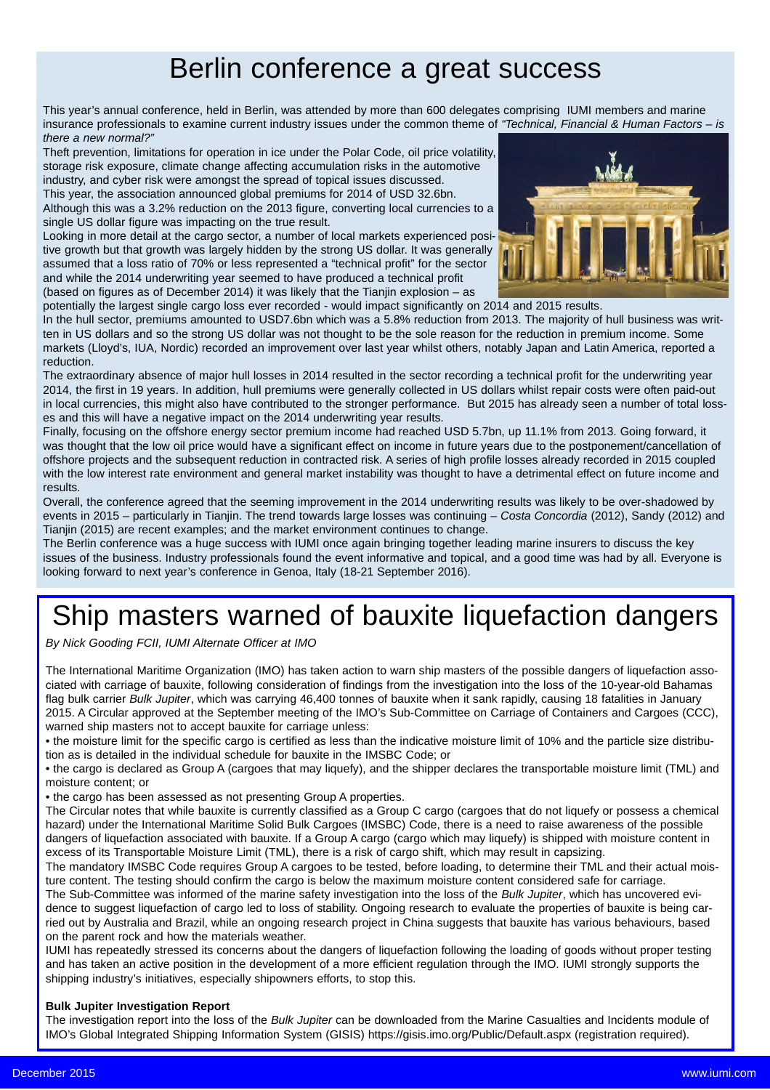### Berlin conference a great success

This year's annual conference, held in Berlin, was attended by more than 600 delegates comprising IUMI members and marine insurance professionals to examine current industry issues under the common theme of *"Technical, Financial & Human Factors – is there a new normal?"*

Theft prevention, limitations for operation in ice under the Polar Code, oil price volatility, storage risk exposure, climate change affecting accumulation risks in the automotive industry, and cyber risk were amongst the spread of topical issues discussed.

This year, the association announced global premiums for 2014 of USD 32.6bn. Although this was a 3.2% reduction on the 2013 figure, converting local currencies to a single US dollar figure was impacting on the true result.

Looking in more detail at the cargo sector, a number of local markets experienced positive growth but that growth was largely hidden by the strong US dollar. It was generally assumed that a loss ratio of 70% or less represented a "technical profit" for the sector and while the 2014 underwriting year seemed to have produced a technical profit (based on figures as of December 2014) it was likely that the Tianjin explosion – as



potentially the largest single cargo loss ever recorded - would impact significantly on 2014 and 2015 results.

In the hull sector, premiums amounted to USD7.6bn which was a 5.8% reduction from 2013. The majority of hull business was written in US dollars and so the strong US dollar was not thought to be the sole reason for the reduction in premium income. Some markets (Lloyd's, IUA, Nordic) recorded an improvement over last year whilst others, notably Japan and Latin America, reported a reduction.

The extraordinary absence of major hull losses in 2014 resulted in the sector recording a technical profit for the underwriting year 2014, the first in 19 years. In addition, hull premiums were generally collected in US dollars whilst repair costs were often paid-out in local currencies, this might also have contributed to the stronger performance. But 2015 has already seen a number of total losses and this will have a negative impact on the 2014 underwriting year results.

Finally, focusing on the offshore energy sector premium income had reached USD 5.7bn, up 11.1% from 2013. Going forward, it was thought that the low oil price would have a significant effect on income in future years due to the postponement/cancellation of offshore projects and the subsequent reduction in contracted risk. A series of high profile losses already recorded in 2015 coupled with the low interest rate environment and general market instability was thought to have a detrimental effect on future income and results.

Overall, the conference agreed that the seeming improvement in the 2014 underwriting results was likely to be over-shadowed by events in 2015 – particularly in Tianjin. The trend towards large losses was continuing – *Costa Concordia* (2012), Sandy (2012) and Tianjin (2015) are recent examples; and the market environment continues to change.

The Berlin conference was a huge success with IUMI once again bringing together leading marine insurers to discuss the key issues of the business. Industry professionals found the event informative and topical, and a good time was had by all. Everyone is looking forward to next year's conference in Genoa, Italy (18-21 September 2016).

# Ship masters warned of bauxite liquefaction dangers

*By Nick Gooding FCII, IUMI Alternate Officer at IMO*

The International Maritime Organization (IMO) has taken action to warn ship masters of the possible dangers of liquefaction associated with carriage of bauxite, following consideration of findings from the investigation into the loss of the 10-year-old Bahamas flag bulk carrier *Bulk Jupiter*, which was carrying 46,400 tonnes of bauxite when it sank rapidly, causing 18 fatalities in January 2015. A Circular approved at the September meeting of the IMO's Sub-Committee on Carriage of Containers and Cargoes (CCC), warned ship masters not to accept bauxite for carriage unless:

• the moisture limit for the specific cargo is certified as less than the indicative moisture limit of 10% and the particle size distribution as is detailed in the individual schedule for bauxite in the IMSBC Code; or

• the cargo is declared as Group A (cargoes that may liquefy), and the shipper declares the transportable moisture limit (TML) and moisture content; or

• the cargo has been assessed as not presenting Group A properties.

The Circular notes that while bauxite is currently classified as a Group C cargo (cargoes that do not liquefy or possess a chemical hazard) under the International Maritime Solid Bulk Cargoes (IMSBC) Code, there is a need to raise awareness of the possible dangers of liquefaction associated with bauxite. If a Group A cargo (cargo which may liquefy) is shipped with moisture content in excess of its Transportable Moisture Limit (TML), there is a risk of cargo shift, which may result in capsizing.

The mandatory IMSBC Code requires Group A cargoes to be tested, before loading, to determine their TML and their actual moisture content. The testing should confirm the cargo is below the maximum moisture content considered safe for carriage.

The Sub-Committee was informed of the marine safety investigation into the loss of the *Bulk Jupiter*, which has uncovered evidence to suggest liquefaction of cargo led to loss of stability. Ongoing research to evaluate the properties of bauxite is being carried out by Australia and Brazil, while an ongoing research project in China suggests that bauxite has various behaviours, based on the parent rock and how the materials weather.

IUMI has repeatedly stressed its concerns about the dangers of liquefaction following the loading of goods without proper testing and has taken an active position in the development of a more efficient regulation through the IMO. IUMI strongly supports the shipping industry's initiatives, especially shipowners efforts, to stop this.

### **Bulk Jupiter Investigation Report**

The investigation report into the loss of the *Bulk Jupiter* can be downloaded from the Marine Casualties and Incidents module of IMO's Global Integrated Shipping Information System (GISIS) https://gisis.imo.org/Public/Default.aspx (registration required).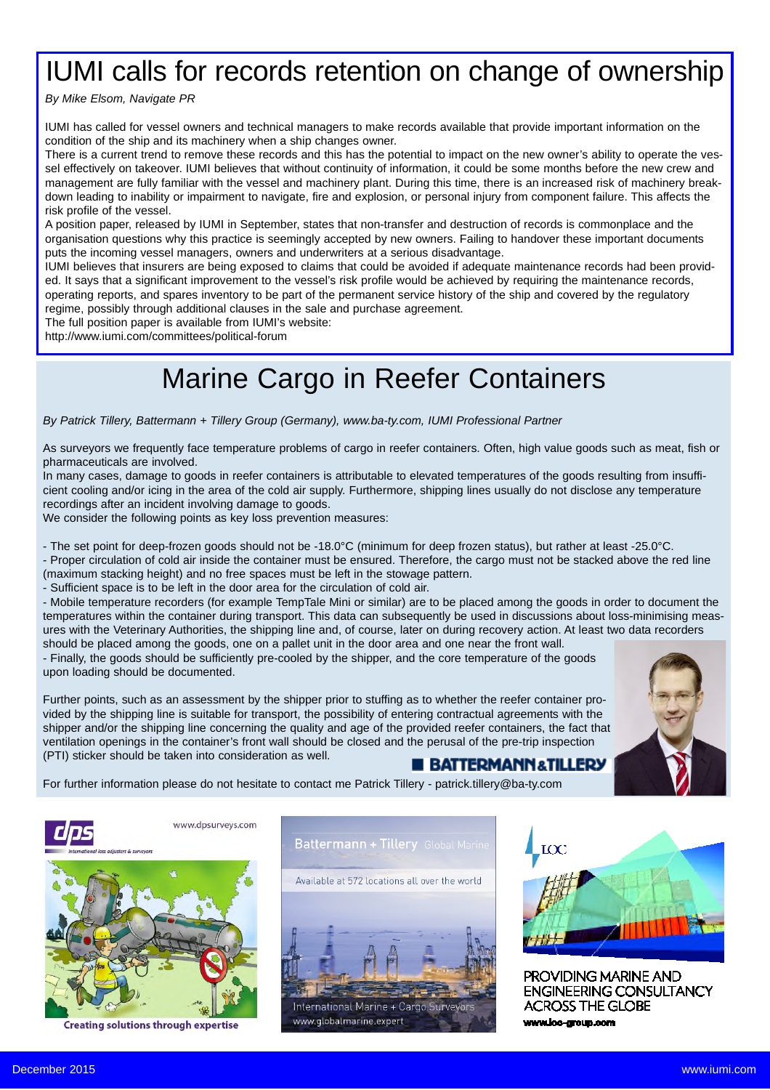## IUMI calls for records retention on change of ownership

*By Mike Elsom, Navigate PR*

IUMI has called for vessel owners and technical managers to make records available that provide important information on the condition of the ship and its machinery when a ship changes owner.

There is a current trend to remove these records and this has the potential to impact on the new owner's ability to operate the vessel effectively on takeover. IUMI believes that without continuity of information, it could be some months before the new crew and management are fully familiar with the vessel and machinery plant. During this time, there is an increased risk of machinery breakdown leading to inability or impairment to navigate, fire and explosion, or personal injury from component failure. This affects the risk profile of the vessel.

A position paper, released by IUMI in September, states that non-transfer and destruction of records is commonplace and the organisation questions why this practice is seemingly accepted by new owners. Failing to handover these important documents puts the incoming vessel managers, owners and underwriters at a serious disadvantage.

IUMI believes that insurers are being exposed to claims that could be avoided if adequate maintenance records had been provided. It says that a significant improvement to the vessel's risk profile would be achieved by requiring the maintenance records, operating reports, and spares inventory to be part of the permanent service history of the ship and covered by the regulatory regime, possibly through additional clauses in the sale and purchase agreement.

The full position paper is available from IUMI's website:

http://www.iumi.com/committees/political-forum

## Marine Cargo in Reefer Containers

*By Patrick Tillery, Battermann + Tillery Group (Germany), www.ba-ty.com, IUMI Professional Partner*

As surveyors we frequently face temperature problems of cargo in reefer containers. Often, high value goods such as meat, fish or pharmaceuticals are involved.

In many cases, damage to goods in reefer containers is attributable to elevated temperatures of the goods resulting from insufficient cooling and/or icing in the area of the cold air supply. Furthermore, shipping lines usually do not disclose any temperature recordings after an incident involving damage to goods.

We consider the following points as key loss prevention measures:

- The set point for deep-frozen goods should not be -18.0°C (minimum for deep frozen status), but rather at least -25.0°C.

- Proper circulation of cold air inside the container must be ensured. Therefore, the cargo must not be stacked above the red line (maximum stacking height) and no free spaces must be left in the stowage pattern.

- Sufficient space is to be left in the door area for the circulation of cold air.

- Mobile temperature recorders (for example TempTale Mini or similar) are to be placed among the goods in order to document the temperatures within the container during transport. This data can subsequently be used in discussions about loss-minimising measures with the Veterinary Authorities, the shipping line and, of course, later on during recovery action. At least two data recorders should be placed among the goods, one on a pallet unit in the door area and one near the front wall.

- Finally, the goods should be sufficiently pre-cooled by the shipper, and the core temperature of the goods upon loading should be documented.

Further points, such as an assessment by the shipper prior to stuffing as to whether the reefer container provided by the shipping line is suitable for transport, the possibility of entering contractual agreements with the shipper and/or the shipping line concerning the quality and age of the provided reefer containers, the fact that ventilation openings in the container's front wall should be closed and the perusal of the pre-trip inspection (PTI) sticker should be taken into consideration as well.



**B BATTERMANN&TILLERY** 

For further information please do not hesitate to contact me Patrick Tillery - patrick.tillery@ba-ty.com



**Creating solutions through expertise** 





PROVIDING MARINE AND **ENGINEERING CONSULTANCY ACROSS THE GLOBE** www.loc-group.com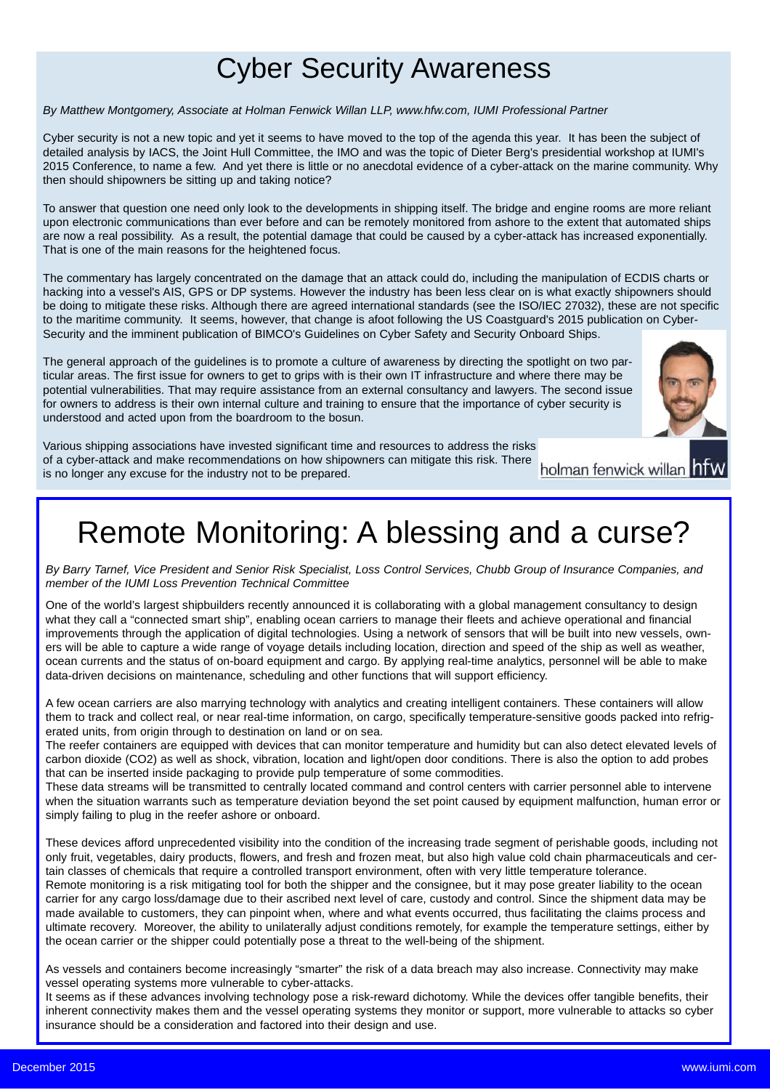## Cyber Security Awareness

### *By Matthew Montgomery, Associate at Holman Fenwick Willan LLP, www.hfw.com, IUMI Professional Partner*

Cyber security is not a new topic and yet it seems to have moved to the top of the agenda this year. It has been the subject of detailed analysis by IACS, the Joint Hull Committee, the IMO and was the topic of Dieter Berg's presidential workshop at IUMI's 2015 Conference, to name a few. And yet there is little or no anecdotal evidence of a cyber-attack on the marine community. Why then should shipowners be sitting up and taking notice?

To answer that question one need only look to the developments in shipping itself. The bridge and engine rooms are more reliant upon electronic communications than ever before and can be remotely monitored from ashore to the extent that automated ships are now a real possibility. As a result, the potential damage that could be caused by a cyber-attack has increased exponentially. That is one of the main reasons for the heightened focus.

The commentary has largely concentrated on the damage that an attack could do, including the manipulation of ECDIS charts or hacking into a vessel's AIS, GPS or DP systems. However the industry has been less clear on is what exactly shipowners should be doing to mitigate these risks. Although there are agreed international standards (see the ISO/IEC 27032), these are not specific to the maritime community. It seems, however, that change is afoot following the US Coastguard's 2015 publication on Cyber-Security and the imminent publication of BIMCO's Guidelines on Cyber Safety and Security Onboard Ships.

The general approach of the guidelines is to promote a culture of awareness by directing the spotlight on two particular areas. The first issue for owners to get to grips with is their own IT infrastructure and where there may be potential vulnerabilities. That may require assistance from an external consultancy and lawyers. The second issue for owners to address is their own internal culture and training to ensure that the importance of cyber security is understood and acted upon from the boardroom to the bosun.



Various shipping associations have invested significant time and resources to address the risks of a cyber-attack and make recommendations on how shipowners can mitigate this risk. There is no longer any excuse for the industry not to be prepared.

holman fenwick willan hfw

# Remote Monitoring: A blessing and a curse?

*By Barry Tarnef, Vice President and Senior Risk Specialist, Loss Control Services, Chubb Group of Insurance Companies, and member of the IUMI Loss Prevention Technical Committee*

One of the world's largest shipbuilders recently announced it is collaborating with a global management consultancy to design what they call a "connected smart ship", enabling ocean carriers to manage their fleets and achieve operational and financial improvements through the application of digital technologies. Using a network of sensors that will be built into new vessels, owners will be able to capture a wide range of voyage details including location, direction and speed of the ship as well as weather, ocean currents and the status of on-board equipment and cargo. By applying real-time analytics, personnel will be able to make data-driven decisions on maintenance, scheduling and other functions that will support efficiency.

A few ocean carriers are also marrying technology with analytics and creating intelligent containers. These containers will allow them to track and collect real, or near real-time information, on cargo, specifically temperature-sensitive goods packed into refrigerated units, from origin through to destination on land or on sea.

The reefer containers are equipped with devices that can monitor temperature and humidity but can also detect elevated levels of carbon dioxide (CO2) as well as shock, vibration, location and light/open door conditions. There is also the option to add probes that can be inserted inside packaging to provide pulp temperature of some commodities.

These data streams will be transmitted to centrally located command and control centers with carrier personnel able to intervene when the situation warrants such as temperature deviation beyond the set point caused by equipment malfunction, human error or simply failing to plug in the reefer ashore or onboard.

These devices afford unprecedented visibility into the condition of the increasing trade segment of perishable goods, including not only fruit, vegetables, dairy products, flowers, and fresh and frozen meat, but also high value cold chain pharmaceuticals and certain classes of chemicals that require a controlled transport environment, often with very little temperature tolerance.

Remote monitoring is a risk mitigating tool for both the shipper and the consignee, but it may pose greater liability to the ocean carrier for any cargo loss/damage due to their ascribed next level of care, custody and control. Since the shipment data may be made available to customers, they can pinpoint when, where and what events occurred, thus facilitating the claims process and ultimate recovery. Moreover, the ability to unilaterally adjust conditions remotely, for example the temperature settings, either by the ocean carrier or the shipper could potentially pose a threat to the well-being of the shipment.

As vessels and containers become increasingly "smarter" the risk of a data breach may also increase. Connectivity may make vessel operating systems more vulnerable to cyber-attacks.

It seems as if these advances involving technology pose a risk-reward dichotomy. While the devices offer tangible benefits, their inherent connectivity makes them and the vessel operating systems they monitor or support, more vulnerable to attacks so cyber insurance should be a consideration and factored into their design and use.